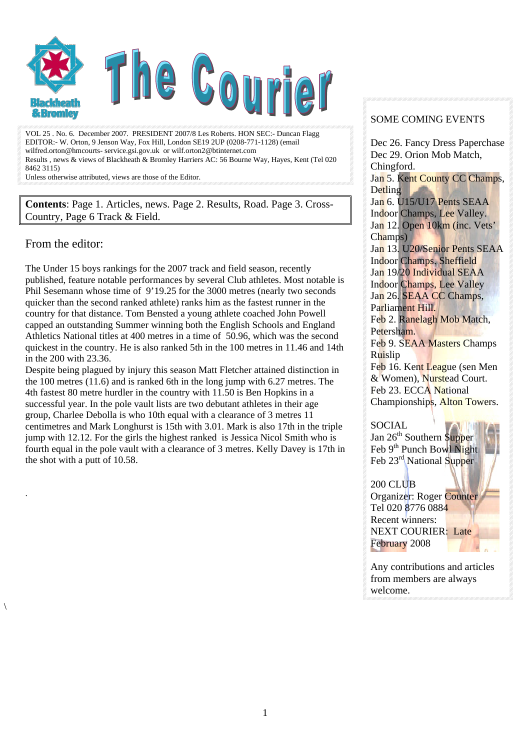

VOL 25 . No. 6. December 2007. PRESIDENT 2007/8 Les Roberts. HON SEC:- Duncan Flagg EDITOR:- W. Orton, 9 Jenson Way, Fox Hill, London SE19 2UP (0208-771-1128) (email wilfred.orton@hmcourts- service.gsi.gov.uk or wilf.orton2@btinternet.com Results , news & views of Blackheath & Bromley Harriers AC: 56 Bourne Way, Hayes, Kent (Tel 020 8462 3115)

Unless otherwise attributed, views are those of the Editor.

**Contents**: Page 1. Articles, news. Page 2. Results, Road. Page 3. Cross-Country, Page 6 Track & Field.

#### From the editor:

.

 $\setminus$ 

The Under 15 boys rankings for the 2007 track and field season, recently published, feature notable performances by several Club athletes. Most notable is Phil Sesemann whose time of 9'19.25 for the 3000 metres (nearly two seconds quicker than the second ranked athlete) ranks him as the fastest runner in the country for that distance. Tom Bensted a young athlete coached John Powell capped an outstanding Summer winning both the English Schools and England Athletics National titles at 400 metres in a time of 50.96, which was the second quickest in the country. He is also ranked 5th in the 100 metres in 11.46 and 14th in the 200 with 23.36.

Despite being plagued by injury this season Matt Fletcher attained distinction in the 100 metres (11.6) and is ranked 6th in the long jump with 6.27 metres. The 4th fastest 80 metre hurdler in the country with 11.50 is Ben Hopkins in a successful year. In the pole vault lists are two debutant athletes in their age group, Charlee Debolla is who 10th equal with a clearance of 3 metres 11 centimetres and Mark Longhurst is 15th with 3.01. Mark is also 17th in the triple jump with 12.12. For the girls the highest ranked is Jessica Nicol Smith who is fourth equal in the pole vault with a clearance of 3 metres. Kelly Davey is 17th in the shot with a putt of 10.58.

#### SOME COMING EVENTS

Dec 26. Fancy Dress Paperchase Dec 29. Orion Mob Match, Chingford.

Jan 5. Kent County CC Champs, **Detling** 

Jan 6. U15/U17 Pents SEAA Indoor Champs, Lee Valley. Jan 12. Open 10km (inc. Vets' Champs)

Jan 13. U20/Senior Pents SEAA Indoor Champs. Sheffield Jan 19/20 Individual SEAA Indoor Champs, Lee Valley Jan 26. SEAA CC Champs, Parliament Hill.

Feb 2. Ranelagh Mob Match, Petersham.

Feb 9. SEAA Masters Champs Ruislip

Feb 16. Kent League (sen Men & Women), Nurstead Court. Feb 23. ECCA National Championships, Alton Towers.

SOCIAL

Jan 26<sup>th</sup> Southern Supper Feb 9<sup>th</sup> Punch Bowl Night Feb 23<sup>rd</sup> National Supper

#### 200 CLUB

Organizer: Roger Counter Tel 020 8776 0884 Recent winners: NEXT COURIER: Late February 2008

Any contributions and articles from members are always welcome.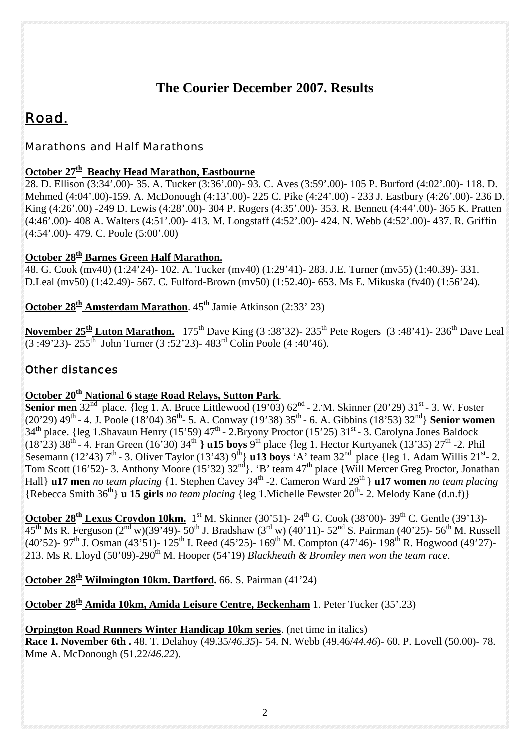# **The Courier December 2007. Results**

# *Road.*

## *Marathons and Half Marathons*

# October 27<sup>th</sup> Beachy Head Marathon, Eastbourne

28. D. Ellison (3:34'.00)- 35. A. Tucker (3:36'.00)- 93. C. Aves (3:59'.00)- 105 P. Burford (4:02'.00)- 118. D. Mehmed (4:04'.00)-159. A. McDonough (4:13'.00)- 225 C. Pike (4:24'.00) - 233 J. Eastbury (4:26'.00)- 236 D. King (4:26'.00) -249 D. Lewis (4:28'.00)- 304 P. Rogers (4:35'.00)- 353. R. Bennett (4:44'.00)- 365 K. Pratten (4:46'.00)- 408 A. Walters (4:51'.00)- 413. M. Longstaff (4:52'.00)- 424. N. Webb (4:52'.00)- 437. R. Griffin (4:54'.00)- 479. C. Poole (5:00'.00)

### **October 28<sup>th</sup> Barnes Green Half Marathon.**

48. G. Cook (mv40) (1:24'24)- 102. A. Tucker (mv40) (1:29'41)- 283. J.E. Turner (mv55) (1:40.39)- 331. D.Leal (mv50) (1:42.49)- 567. C. Fulford-Brown (mv50) (1:52.40)- 653. Ms E. Mikuska (fv40) (1:56'24).

**October 28<sup>th</sup> Amsterdam Marathon**. 45<sup>th</sup> Jamie Atkinson (2:33' 23)

**November 25<sup>th</sup> Luton Marathon.** 175<sup>th</sup> Dave King (3:38'32)- 235<sup>th</sup> Pete Rogers (3:48'41)- 236<sup>th</sup> Dave Leal  $(3:49'23)$ - 255<sup>th</sup> John Turner (3:52'23)- 483<sup>rd</sup> Colin Poole (4:40'46).

# *Other distances*

### **October 20<sup>th</sup> National 6 stage Road Relays, Sutton Park.**

**Senior men**  $32^{nd}$  place. {leg 1. A. Bruce Littlewood  $(19'03)$   $62^{nd}$  - 2. M. Skinner  $(20'29)$   $31^{st}$  - 3. W. Foster  $(20'29)$  49<sup>th</sup> - 4. J. Poole (18'04) 36<sup>th</sup> - 5. A. Conway (19'38) 35<sup>th</sup> - 6. A. Gibbins (18'53) 32<sup>nd</sup>} **Senior women**  $34<sup>th</sup>$  place. {leg 1.Shavaun Henry (15'59) 47<sup>th</sup> - 2.Bryony Proctor (15'25) 31<sup>st</sup> - 3. Carolyna Jones Baldock (18'23) 38th - 4. Fran Green (16'30) 34th **} u15 boys** 9th place {leg 1. Hector Kurtyanek (13'35) 27th -2. Phil Sesemann (12'43)  $7<sup>th</sup>$  - 3. Oliver Taylor (13'43)  $9<sup>th</sup>$  **u13 boys** 'A' team 32<sup>nd</sup> place {leg 1. Adam Willis 21<sup>st</sup>- 2. Tom Scott (16'52)- 3. Anthony Moore (15'32)  $32<sup>nd</sup>$ . 'B' team 47<sup>th</sup> place {Will Mercer Greg Proctor, Jonathan Hall} **u17 men** no team placing {1. Stephen Cavey 34<sup>th</sup> -2. Cameron Ward 29<sup>th</sup> } **u17 women** no team placing {Rebecca Smith 36th} **u 15 girls** *no team placing* {leg 1.Michelle Fewster 20th- 2. Melody Kane (d.n.f)}

**October 28<sup>th</sup> Lexus Croydon 10km.** 1<sup>st</sup> M. Skinner (30'51)- 24<sup>th</sup> G. Cook (38'00)- 39<sup>th</sup> C. Gentle (39'13)- $45<sup>th</sup>$  Ms R. Ferguson ( $2<sup>nd</sup>$  w)(39'49)- 50<sup>th</sup> J. Bradshaw ( $3<sup>rd</sup>$  w) (40'11)- 52<sup>nd</sup> S. Pairman (40'25)- 56<sup>th</sup> M. Russell (40'52)- 97<sup>th</sup> J. Osman (43'51)-  $125$ <sup>th</sup> I. Reed (45'25)-  $169$ <sup>th</sup> M. Compton (47'46)- 198<sup>th</sup> R. Hogwood (49'27)-213. Ms R. Lloyd (50'09)-290th M. Hooper (54'19) *Blackheath & Bromley men won the team race*.

**October 28<sup>th</sup> Wilmington 10km. Dartford.** 66. S. Pairman (41'24)

**October 28<sup>th</sup> Amida 10km, Amida Leisure Centre, Beckenham** 1. Peter Tucker (35'.23)

## **Orpington Road Runners Winter Handicap 10km series**. (net time in italics)

**Race 1. November 6th .** 48. T. Delahoy (49.35/*46.35*)- 54. N. Webb (49.46/*44.46*)- 60. P. Lovell (50.00)- 78. Mme A. McDonough (51.22/*46.22*).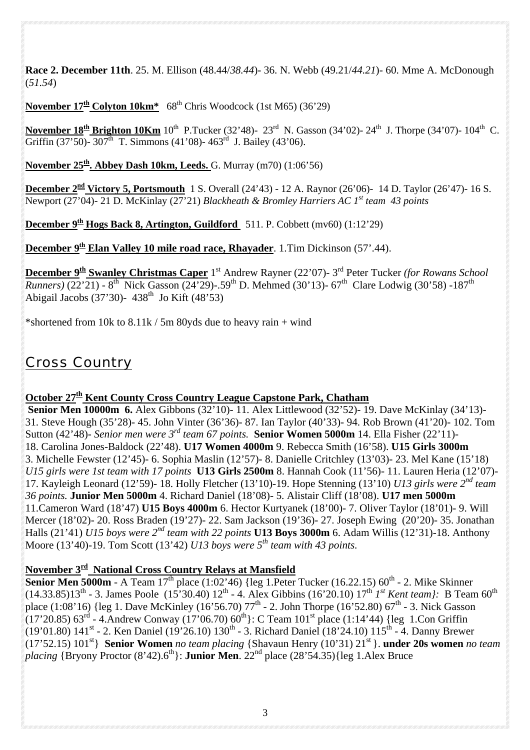**Race 2. December 11th**. 25. M. Ellison (48.44/*38.44*)- 36. N. Webb (49.21/*44.21*)- 60. Mme A. McDonough (*51.54*)

**November 17th Colyton 10km\*** 68th Chris Woodcock (1st M65) (36'29)

**November 18<sup>th</sup> Brighton 10Km** 10<sup>th</sup> P.Tucker (32'48)- 23<sup>rd</sup> N. Gasson (34'02)- 24<sup>th</sup> J. Thorpe (34'07)- 104<sup>th</sup> C. Griffin (37'50)- 307<sup>th</sup> T. Simmons (41'08)- 463<sup>rd</sup> J. Bailey (43'06).

**November 25th. Abbey Dash 10km, Leeds.** G. Murray (m70) (1:06'56)

**December 2<sup>nd</sup> Victory 5, Portsmouth** 1 S. Overall (24'43) - 12 A. Raynor (26'06)- 14 D. Taylor (26'47)- 16 S. Newport (27'04)- 21 D. McKinlay (27'21) *Blackheath & Bromley Harriers AC 1st team 43 points*

**December 9<sup>th</sup> Hogs Back 8, Artington, Guildford** 511. P. Cobbett (mv60) (1:12'29)

**December 9<sup>th</sup> Elan Valley 10 mile road race, Rhayader**. 1. Tim Dickinson (57'.44).

**December 9th Swanley Christmas Caper** 1st Andrew Rayner (22'07)- 3rd Peter Tucker *(for Rowans School Runners*) (22'21) - 8<sup>th</sup> Nick Gasson (24'29)-.59<sup>th</sup> D. Mehmed (30'13)- 67<sup>th</sup> Clare Lodwig (30'58) -187<sup>th</sup> Abigail Jacobs (37'30)- 438<sup>th</sup> Jo Kift (48'53)

\*shortened from 10k to  $8.11k / 5m$  80yds due to heavy rain + wind

# *Cross Country*

### **October 27<sup>th</sup> Kent County Cross Country League Capstone Park, Chatham**

 **Senior Men 10000m 6.** Alex Gibbons (32'10)- 11. Alex Littlewood (32'52)- 19. Dave McKinlay (34'13)- 31. Steve Hough (35'28)- 45. John Vinter (36'36)- 87. Ian Taylor (40'33)- 94. Rob Brown (41'20)- 102. Tom Sutton (42'48)*- Senior men were 3rd team 67 points.* **Senior Women 5000m** 14. Ella Fisher (22'11)- 18. Carolina Jones-Baldock (22'48). **U17 Women 4000m** 9. Rebecca Smith (16'58). **U15 Girls 3000m**  3. Michelle Fewster (12'45)- 6. Sophia Maslin (12'57)- 8. Danielle Critchley (13'03)- 23. Mel Kane (15'18) *U15 girls were 1st team with 17 points* **U13 Girls 2500m** 8. Hannah Cook (11'56)- 11. Lauren Heria (12'07)- 17. Kayleigh Leonard (12'59)- 18. Holly Fletcher (13'10)-19. Hope Stenning (13'10) *U13 girls were 2nd team 36 points.* **Junior Men 5000m** 4. Richard Daniel (18'08)- 5. Alistair Cliff (18'08). **U17 men 5000m**  11.Cameron Ward (18'47) **U15 Boys 4000m** 6. Hector Kurtyanek (18'00)- 7. Oliver Taylor (18'01)- 9. Will Mercer (18'02)- 20. Ross Braden (19'27)- 22. Sam Jackson (19'36)- 27. Joseph Ewing (20'20)- 35. Jonathan Halls (21'41) *U15 boys were 2nd team with 22 points* **U13 Boys 3000m** 6. Adam Willis (12'31)-18. Anthony Moore (13'40)-19. Tom Scott (13'42) *U13 boys were 5th team with 43 points.*

# **November 3rd National Cross Country Relays at Mansfield**

**Senior Men 5000m** - A Team  $17<sup>th</sup>$  place (1:02'46) {leg 1. Peter Tucker (16.22.15) 60<sup>th</sup> - 2. Mike Skinner (14.33.85)13th - 3. James Poole (15'30.40) 12th - 4. Alex Gibbins (16'20.10) 17th *1st Kent team}:* B Team 60th place  $(1:08'16)$  {leg 1. Dave McKinley  $(16'56.70)$  77<sup>th</sup> - 2. John Thorpe  $(16'52.80)$  67<sup>th</sup> - 3. Nick Gasson  $(17'20.85)$  63<sup>rd</sup> - 4.Andrew Conway (17'06.70) 60<sup>th</sup>}: C Team 101<sup>st</sup> place (1:14'44) {leg 1.Con Griffin (19'01.80) 141<sup>st</sup> - 2. Ken Daniel (19'26.10) 130<sup>th</sup> - 3. Richard Daniel (18'24.10) 115<sup>th</sup> - 4. Danny Brewer  $(17'52.15)$   $101<sup>st</sup>$  **Senior Women** *no team placing* {Shavaun Henry  $(10'31)$   $21<sup>st</sup>$  }. **under 20s women** *no team placing* {Bryony Proctor (8'42).6<sup>th</sup>}: **Junior Men**. 22<sup>nd</sup> place (28'54.35){leg 1.Alex Bruce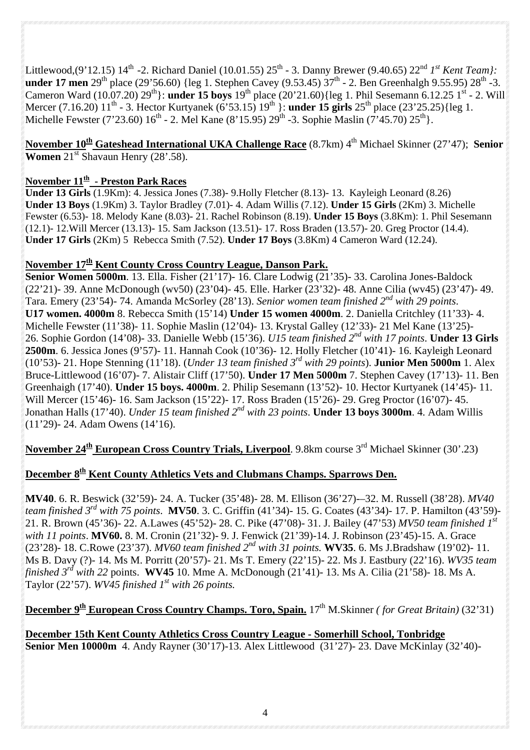Littlewood,(9'12.15) 14<sup>th</sup> -2. Richard Daniel (10.01.55) 25<sup>th</sup> - 3. Danny Brewer (9.40.65) 22<sup>nd</sup> *1st Kent Team*}: **under 17 men** 29<sup>th</sup> place (29'56.60) {leg 1. Stephen Cavey (9.53.45)  $37<sup>th</sup>$  - 2. Ben Greenhalgh 9.55.95)  $28<sup>th</sup>$  -3. Cameron Ward (10.07.20) 29<sup>th</sup>}: **under 15 boys** 19<sup>th</sup> place (20'21.60){leg 1. Phil Sesemann 6.12.25 1<sup>st</sup> - 2. Will Mercer (7.16.20) 11<sup>th</sup> - 3. Hector Kurtyanek (6'53.15) 19<sup>th</sup> }: **under 15 girls** 25<sup>th</sup> place (23'25.25){leg 1. Michelle Fewster (7'23.60)  $16^{th}$  - 2. Mel Kane (8'15.95)  $29^{th}$  -3. Sophie Maslin (7'45.70)  $25^{th}$ .

# **November 10<sup>th</sup> Gateshead International UKA Challenge Race** (8.7km) 4<sup>th</sup> Michael Skinner (27'47); **Senior Women** 21<sup>st</sup> Shavaun Henry (28'.58).

#### **November 11th - Preston Park Races**

**Under 13 Girls** (1.9Km): 4. Jessica Jones (7.38)- 9.Holly Fletcher (8.13)- 13. Kayleigh Leonard (8.26) **Under 13 Boys** (1.9Km) 3. Taylor Bradley (7.01)- 4. Adam Willis (7.12). **Under 15 Girls** (2Km) 3. Michelle Fewster (6.53)- 18. Melody Kane (8.03)- 21. Rachel Robinson (8.19). **Under 15 Boys** (3.8Km): 1. Phil Sesemann (12.1)- 12.Will Mercer (13.13)- 15. Sam Jackson (13.51)- 17. Ross Braden (13.57)- 20. Greg Proctor (14.4). **Under 17 Girls** (2Km) 5 Rebecca Smith (7.52). **Under 17 Boys** (3.8Km) 4 Cameron Ward (12.24).

### November 17<sup>th</sup> Kent County Cross Country League, Danson Park.

**Senior Women 5000m**. 13. Ella. Fisher (21'17)- 16. Clare Lodwig (21'35)- 33. Carolina Jones-Baldock (22'21)- 39. Anne McDonough (wv50) (23'04)- 45. Elle. Harker (23'32)- 48. Anne Cilia (wv45) (23'47)- 49. Tara. Emery (23'54)- 74. Amanda McSorley (28'13). *Senior women team finished 2nd with 29 points*. **U17 women. 4000m** 8. Rebecca Smith (15'14) **Under 15 women 4000m**. 2. Daniella Critchley (11'33)- 4. Michelle Fewster (11'38)- 11. Sophie Maslin (12'04)- 13. Krystal Galley (12'33)- 21 Mel Kane (13'25)- 26. Sophie Gordon (14'08)- 33. Danielle Webb (15'36). *U15 team finished 2nd with 17 points*. **Under 13 Girls 2500m**. 6. Jessica Jones (9'57)- 11. Hannah Cook (10'36)- 12. Holly Fletcher (10'41)- 16. Kayleigh Leonard (10'53)- 21. Hope Stenning (11'18). (*Under 13 team finished 3rd with 29 points*). **Junior Men 5000m** 1. Alex Bruce-Littlewood (16'07)- 7. Alistair Cliff (17'50). **Under 17 Men 5000m** 7. Stephen Cavey (17'13)- 11. Ben Greenhaigh (17'40). **Under 15 boys. 4000m**. 2. Philip Sesemann (13'52)- 10. Hector Kurtyanek (14'45)- 11. Will Mercer (15'46)- 16. Sam Jackson (15'22)- 17. Ross Braden (15'26)- 29. Greg Proctor (16'07)- 45. Jonathan Halls (17'40). *Under 15 team finished 2nd with 23 points*. **Under 13 boys 3000m**. 4. Adam Willis (11'29)- 24. Adam Owens (14'16).

**November 24<sup>th</sup> European Cross Country Trials, Liverpool**. 9.8km course 3<sup>rd</sup> Michael Skinner (30'.23)

### December 8<sup>th</sup> Kent County Athletics Vets and Clubmans Champs. Sparrows Den.

**MV40**. 6. R. Beswick (32'59)- 24. A. Tucker (35'48)- 28. M. Ellison (36'27)-–32. M. Russell (38'28). *MV40 team finished 3rd with 75 points*. **MV50**. 3. C. Griffin (41'34)- 15. G. Coates (43'34)- 17. P. Hamilton (43'59)- 21. R. Brown (45'36)- 22. A.Lawes (45'52)- 28. C. Pike (47'08)- 31. J. Bailey (47'53) *MV50 team finished 1st with 11 points*. **MV60.** 8. M. Cronin (21'32)- 9. J. Fenwick (21'39)-14. J. Robinson (23'45)-15. A. Grace (23'28)- 18. C.Rowe (23'37). *MV60 team finished 2nd with 31 points.* **WV35**. 6. Ms J.Bradshaw (19'02)- 11. Ms B. Davy (?)- 14. Ms M. Porritt (20'57)- 21. Ms T. Emery (22'15)- 22. Ms J. Eastbury (22'16). *WV35 team finished 3rd with 22* points. **WV45** 10. Mme A. McDonough (21'41)- 13. Ms A. Cilia (21'58)- 18. Ms A. Taylor (22'57).  $WV45$  finished  $I<sup>st</sup>$  with 26 points.

# **December 9<sup>th</sup> European Cross Country Champs. Toro, Spain.** 17<sup>th</sup> M.Skinner *(for Great Britain)* (32'31)

**December 15th Kent County Athletics Cross Country League - Somerhill School, Tonbridge Senior Men 10000m** 4. Andy Rayner (30'17)-13. Alex Littlewood (31'27)- 23. Dave McKinlay (32'40)-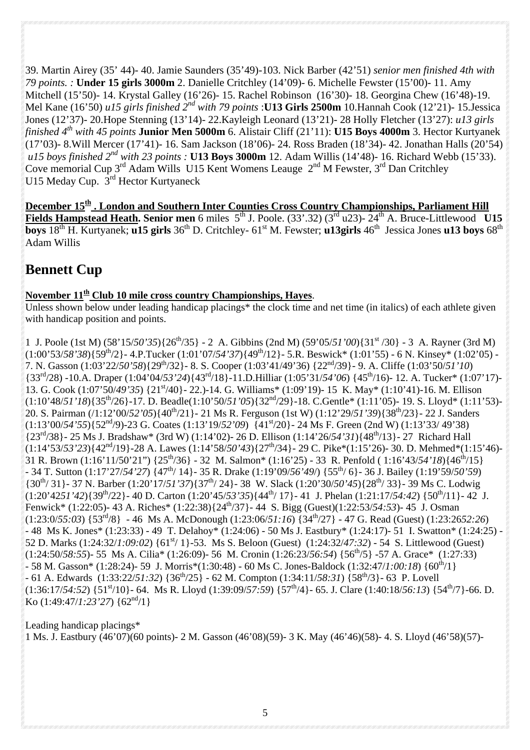39. Martin Airey (35' 44)- 40. Jamie Saunders (35'49)-103. Nick Barber (42'51) *senior men finished 4th with 79 points. :* **Under 15 girls 3000m** 2. Danielle Critchley (14'09)- 6. Michelle Fewster (15'00)- 11. Amy Mitchell (15'50)- 14. Krystal Galley (16'26)- 15. Rachel Robinson (16'30)- 18. Georgina Chew (16'48)-19. Mel Kane (16'50) *u15 girls finished 2nd with 79 points* :**U13 Girls 2500m** 10.Hannah Cook (12'21)- 15.Jessica Jones (12'37)- 20.Hope Stenning (13'14)- 22.Kayleigh Leonard (13'21)- 28 Holly Fletcher (13'27): *u13 girls finished 4th with 45 points* **Junior Men 5000m** 6. Alistair Cliff (21'11): **U15 Boys 4000m** 3. Hector Kurtyanek (17'03)- 8.Will Mercer (17'41)- 16. Sam Jackson (18'06)- 24. Ross Braden (18'34)- 42. Jonathan Halls (20'54)  *u15 boys finished 2nd with 23 points :* **U13 Boys 3000m** 12. Adam Willis (14'48)- 16. Richard Webb (15'33). Cove memorial Cup  $3^{rd}$  Adam Wills U15 Kent Womens Leauge  $2^{nd}$  M Fewster,  $3^{rd}$  Dan Critchley U15 Meday Cup. 3<sup>rd</sup> Hector Kurtyaneck

**December 15th . London and Southern Inter Counties Cross Country Championships, Parliament Hill Fields Hampstead Heath. Senior men** 6 miles 5<sup>th</sup> J. Poole. (33'.32) (3<sup>rd</sup> u23)- 24<sup>th</sup> A. Bruce-Littlewood **U15 boys**  $18^{th}$  H. Kurtyanek; **u15 girls**  $36^{th}$  D. Critchley-  $61^{st}$  M. Fewster; **u13girls**  $46^{th}$  Jessica Jones **u13 boys**  $68^{th}$ Adam Willis

# **Bennett Cup**

## **November 11th Club 10 mile cross country Championships, Hayes**.

Unless shown below under leading handicap placings<sup>\*</sup> the clock time and net time (in italics) of each athlete given with handicap position and points.

1 J. Poole (1st M) (58'15/*50'35*){26th/35} - 2 A. Gibbins (2nd M) (59'05/*51'00*){31st /30} - 3 A. Rayner (3rd M) (1:00'53/*58'38*){59th/2}- 4.P.Tucker (1:01'07/*54'37*){49th/12}- 5.R. Beswick\* (1:01'55) - 6 N. Kinsey\* (1:02'05) - 7. N. Gasson (1:03'22/*50'58*){29th/32}- 8. S. Cooper (1:03'41/49'36) {22nd/39}- 9. A. Cliffe (1:03'50/*51'10*) {33rd/28) -10.A. Draper (1:04'04/*53'24*){43rd/18}-11.D.Hilliar (1:05'31/*54'06*) {45th/16)- 12. A. Tucker\* (1:07'17)- 13. G. Cook (1:07'50/*49'35*) {21st/40}- 22.)-14. G. Williams\* (1:09'19)- 15 K. May\* (1:10'41)-16. M. Ellison (1:10'48/*51'18*){35th/26}-17. D. Beadle(1:10'50/*51'05*){32nd/29}-18. C.Gentle\* (1:11'05)- 19. S. Lloyd\* (1:11'53)- 20. S. Pairman (/1:12'00/*52'05*){40th/21}- 21 Ms R. Ferguson (1st W) (1:12'29/*51'39*){38th/23}- 22 J. Sanders (1:13'00/*54'55*){52nd/9)-23 G. Coates (1:13'19/*52'09*) {41st/20}- 24 Ms F. Green (2nd W) (1:13'33/ 49'38) {23rd/38}- 25 Ms J. Bradshaw\* (3rd W) (1:14'02)- 26 D. Ellison (1:14'26/*54'31*){48th/13}- 27 Richard Hall (1:14'53/*53'23*){42nd/19}-28 A. Lawes (1:14'58/*50'43*){27th/34}- 29 C. Pike\*(1:15'26)- 30. D. Mehmed\*(1:15'46)- 31 R. Brown (1:16'11/50'21") {25th/36} - 32 M. Salmon\* (1:16'25) - 33 R. Penfold ( 1:16'43/*54'18*){46th/15} - 34 T. Sutton (1:17'27/*54'27*) {47th/ 14}- 35 R. Drake (1:19'09/*56'49*/) {55th/ 6}- 36 J. Bailey (1:19'59/*50'59*) {30th/ 31}- 37 N. Barber (1:20'17/*51'37*){37th/ 24}- 38 W. Slack (1:20'30/*50'45*){28th/ 33}- 39 Ms C. Lodwig  $(1:20'4251'42){39^{th}/22}$ - 40 D. Carton  $(1:20'45/53'35){44^{th}/17}$ - 41 J. Phelan  $(1:21:17/54:42){50^{th}/11}$ - 42 J. Fenwick\* (1:22:05)- 43 A. Riches\* (1:22:38){24th/37}- 44 S. Bigg (Guest)(1:22:53/*54:53*)- 45 J. Osman (1:23:0/*55:03*) {53rd/8} - 46 Ms A. McDonough (1:23:06/*51:16*) {34th/27} - 47 G. Read (Guest) (1:23:26*52:26*) - 48 Ms K. Jones\* (1:23:33) - 49 T. Delahoy\* (1:24:06) - 50 Ms J. Eastbury\* (1:24:17)- 51 I. Swatton\* (1:24:25) - 52 D. Marks (1:24:32/*1:09:02*) {61st/ 1}-53. Ms S. Beloon (Guest) (1:24:32/*47:32*) - 54 S. Littlewood (Guest) (1:24:50/*58:55*)- 55 Ms A. Cilia\* (1:26:09)- 56 M. Cronin (1:26:23/*56:54*) {56th/5} -57 A. Grace\* (1:27:33) - 58 M. Gasson\* (1:28:24)- 59 J. Morris\*(1:30:48) - 60 Ms C. Jones-Baldock (1:32:47/*1:00:18*) {60th/1} - 61 A. Edwards (1:33:22/*51:32*) {36th/25} - 62 M. Compton (1:34:11/*58:31*) {58th/3}- 63 P. Lovell  $(1:36:17/54:52)$  {51<sup>st</sup>/10}- 64. Ms R. Lloyd (1:39:09/57:59) {57<sup>th</sup>/4}- 65. J. Clare (1:40:18/56:13) {54<sup>th</sup>/7}-66. D. Ko (1:49:47/*1:23'27*) {62nd/1}

Leading handicap placings\* 1 Ms. J. Eastbury (46'07)(60 points)- 2 M. Gasson (46'08)(59)- 3 K. May (46'46)(58)- 4. S. Lloyd (46'58)(57)-